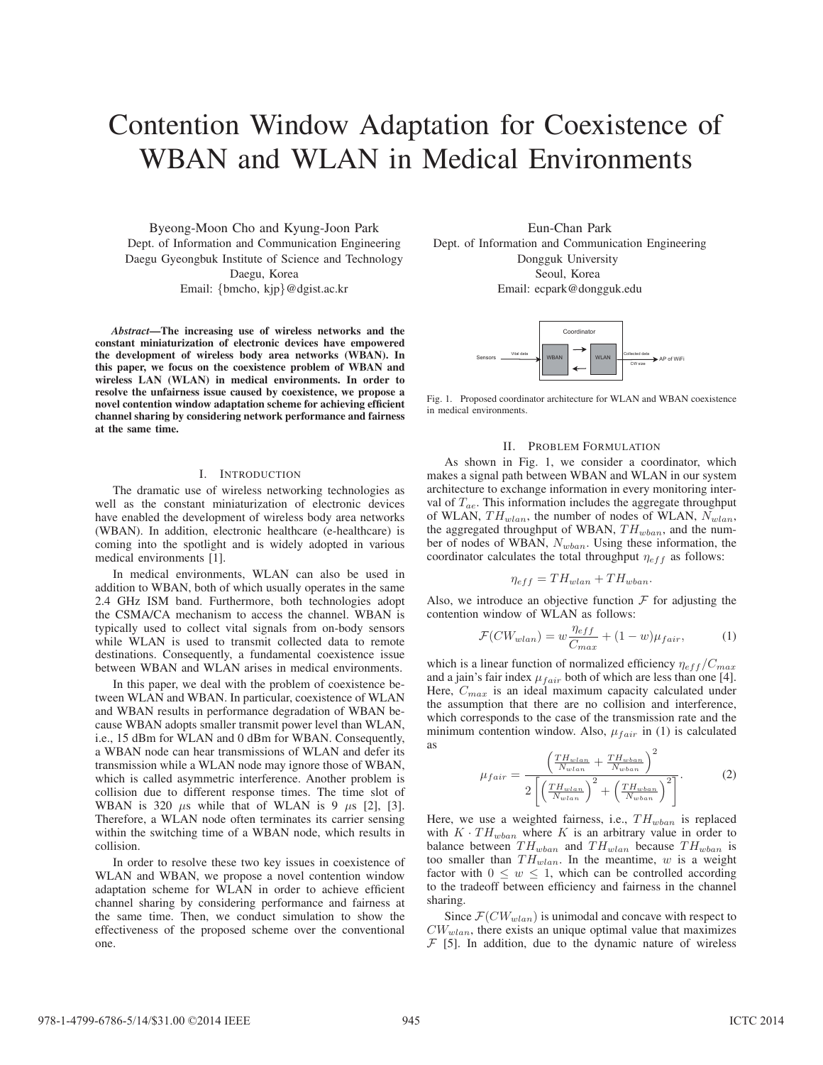# Contention Window Adaptation for Coexistence of WBAN and WLAN in Medical Environments

Byeong-Moon Cho and Kyung-Joon Park Dept. of Information and Communication Engineering Daegu Gyeongbuk Institute of Science and Technology Daegu, Korea Email: {bmcho, kjp}@dgist.ac.kr

*Abstract*—The increasing use of wireless networks and the constant miniaturization of electronic devices have empowered the development of wireless body area networks (WBAN). In this paper, we focus on the coexistence problem of WBAN and wireless LAN (WLAN) in medical environments. In order to resolve the unfairness issue caused by coexistence, we propose a novel contention window adaptation scheme for achieving efficient channel sharing by considering network performance and fairness at the same time.

## I. INTRODUCTION

The dramatic use of wireless networking technologies as well as the constant miniaturization of electronic devices have enabled the development of wireless body area networks (WBAN). In addition, electronic healthcare (e-healthcare) is coming into the spotlight and is widely adopted in various medical environments [1].

In medical environments, WLAN can also be used in addition to WBAN, both of which usually operates in the same 2.4 GHz ISM band. Furthermore, both technologies adopt the CSMA/CA mechanism to access the channel. WBAN is typically used to collect vital signals from on-body sensors while WLAN is used to transmit collected data to remote destinations. Consequently, a fundamental coexistence issue between WBAN and WLAN arises in medical environments.

In this paper, we deal with the problem of coexistence between WLAN and WBAN. In particular, coexistence of WLAN and WBAN results in performance degradation of WBAN because WBAN adopts smaller transmit power level than WLAN, i.e., 15 dBm for WLAN and 0 dBm for WBAN. Consequently, a WBAN node can hear transmissions of WLAN and defer its transmission while a WLAN node may ignore those of WBAN, which is called asymmetric interference. Another problem is collision due to different response times. The time slot of WBAN is 320  $\mu$ s while that of WLAN is 9  $\mu$ s [2], [3]. Therefore, a WLAN node often terminates its carrier sensing within the switching time of a WBAN node, which results in collision.

In order to resolve these two key issues in coexistence of WLAN and WBAN, we propose a novel contention window adaptation scheme for WLAN in order to achieve efficient channel sharing by considering performance and fairness at the same time. Then, we conduct simulation to show the effectiveness of the proposed scheme over the conventional one.

Eun-Chan Park Dept. of Information and Communication Engineering Dongguk University Seoul, Korea Email: ecpark@dongguk.edu



Fig. 1. Proposed coordinator architecture for WLAN and WBAN coexistence in medical environments.

#### II. PROBLEM FORMULATION

As shown in Fig. 1, we consider a coordinator, which makes a signal path between WBAN and WLAN in our system architecture to exchange information in every monitoring interval of  $T_{ae}$ . This information includes the aggregate throughput of WLAN,  $TH_{wlan}$ , the number of nodes of WLAN,  $N_{wlan}$ , the aggregated throughput of WBAN,  $TH_{wban}$ , and the number of nodes of WBAN,  $N_{wban}$ . Using these information, the coordinator calculates the total throughput  $\eta_{eff}$  as follows:

$$
\eta_{eff} = TH_{wlan} + TH_{wban}.
$$

Also, we introduce an objective function  $\mathcal F$  for adjusting the contention window of WLAN as follows:

$$
\mathcal{F}(CW_{wlan}) = w \frac{\eta_{eff}}{C_{max}} + (1 - w)\mu_{fair}, \tag{1}
$$

which is a linear function of normalized efficiency  $\eta_{eff}/C_{max}$ and a jain's fair index  $\mu_{fair}$  both of which are less than one [4]. Here,  $C_{max}$  is an ideal maximum capacity calculated under the assumption that there are no collision and interference, which corresponds to the case of the transmission rate and the minimum contention window. Also,  $\mu_{fair}$  in (1) is calculated as

$$
\mu_{fair} = \frac{\left(\frac{TH_{\text{wlan}}}{N_{\text{wlan}}} + \frac{TH_{\text{wban}}}{N_{\text{wban}}}\right)^2}{2\left[\left(\frac{TH_{\text{wlan}}}{N_{\text{wlan}}}\right)^2 + \left(\frac{TH_{\text{wban}}}{N_{\text{wban}}}\right)^2\right]}.
$$
\n(2)

Here, we use a weighted fairness, i.e.,  $TH_{wban}$  is replaced with  $K \cdot TH_{wban}$  where K is an arbitrary value in order to balance between  $TH_{wban}$  and  $TH_{wlan}$  because  $TH_{wban}$  is too smaller than  $TH_{wlan}$ . In the meantime, w is a weight factor with  $0 \leq w \leq 1$ , which can be controlled according to the tradeoff between efficiency and fairness in the channel sharing.

Since  $\mathcal{F}(CW_{wlan})$  is unimodal and concave with respect to  $CW_{wlan}$ , there exists an unique optimal value that maximizes  $F$  [5]. In addition, due to the dynamic nature of wireless